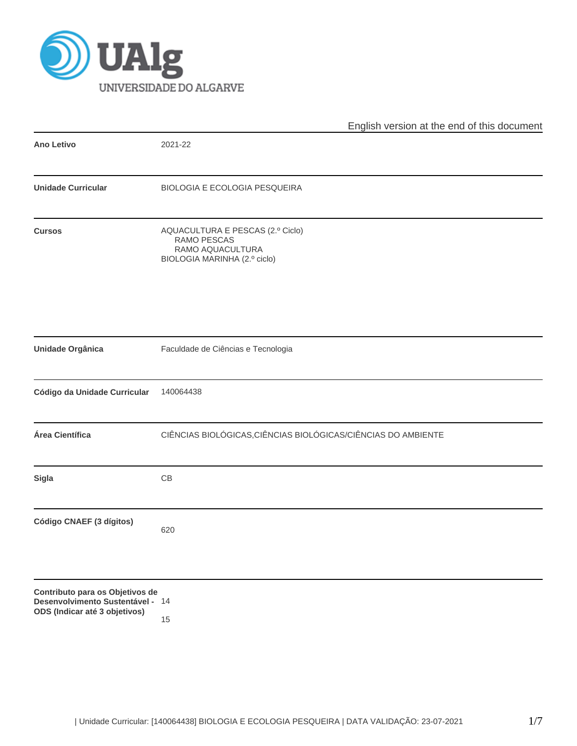

|                                                                                                      | English version at the end of this document                                                         |
|------------------------------------------------------------------------------------------------------|-----------------------------------------------------------------------------------------------------|
| <b>Ano Letivo</b>                                                                                    | 2021-22                                                                                             |
| <b>Unidade Curricular</b>                                                                            | BIOLOGIA E ECOLOGIA PESQUEIRA                                                                       |
| <b>Cursos</b>                                                                                        | AQUACULTURA E PESCAS (2.º Ciclo)<br>RAMO PESCAS<br>RAMO AQUACULTURA<br>BIOLOGIA MARINHA (2.º ciclo) |
| Unidade Orgânica                                                                                     | Faculdade de Ciências e Tecnologia                                                                  |
| Código da Unidade Curricular                                                                         | 140064438                                                                                           |
| Área Científica                                                                                      | CIÊNCIAS BIOLÓGICAS, CIÊNCIAS BIOLÓGICAS/CIÊNCIAS DO AMBIENTE                                       |
| <b>Sigla</b>                                                                                         | CB                                                                                                  |
| Código CNAEF (3 dígitos)                                                                             | 620                                                                                                 |
| Contributo para os Objetivos de<br>Desenvolvimento Sustentável - 14<br>ODS (Indicar até 3 objetivos) | 15                                                                                                  |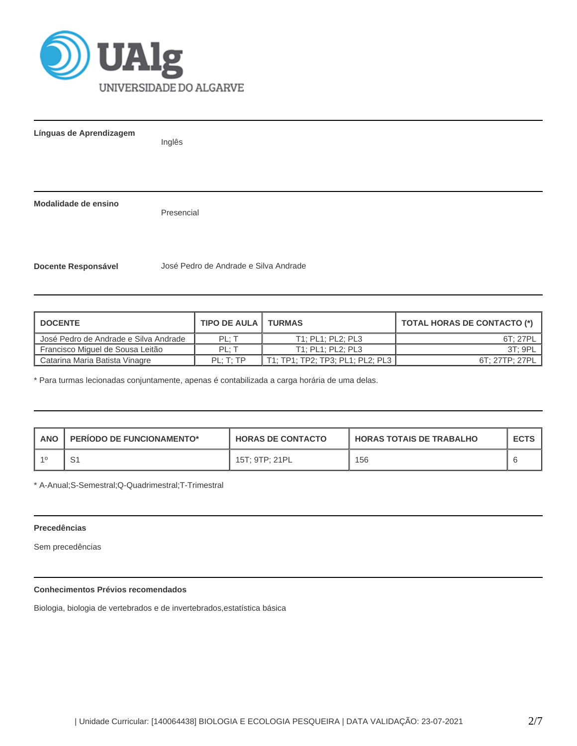

**Línguas de Aprendizagem**

Inglês

**Modalidade de ensino**

Presencial

**Docente Responsável** José Pedro de Andrade e Silva Andrade

| <b>DOCENTE</b>                        | <b>TIPO DE AULA I TURMAS</b> |                   | <b>TOTAL HORAS DE CONTACTO (*)</b> |  |  |
|---------------------------------------|------------------------------|-------------------|------------------------------------|--|--|
| José Pedro de Andrade e Silva Andrade | PL: T                        | T1: PL1: PL2: PL3 | 6T: 27PL                           |  |  |
| Francisco Miguel de Sousa Leitão      | PL: T                        | T1: PL1: PL2: PL3 | 3T: 9PL                            |  |  |
| Catarina Maria Batista Vinagre        | PL: T: TP                    |                   | 6T: 27TP: 27PL                     |  |  |

\* Para turmas lecionadas conjuntamente, apenas é contabilizada a carga horária de uma delas.

| <b>ANO</b> | <b>PERIODO DE FUNCIONAMENTO*</b> | <b>HORAS DE CONTACTO</b> | <b>HORAS TOTAIS DE TRABALHO</b> | <b>ECTS</b> |
|------------|----------------------------------|--------------------------|---------------------------------|-------------|
|            | ا ب                              | 15T; 9TP; 21PL           | 156                             |             |

\* A-Anual;S-Semestral;Q-Quadrimestral;T-Trimestral

## **Precedências**

Sem precedências

# **Conhecimentos Prévios recomendados**

Biologia, biologia de vertebrados e de invertebrados,estatística básica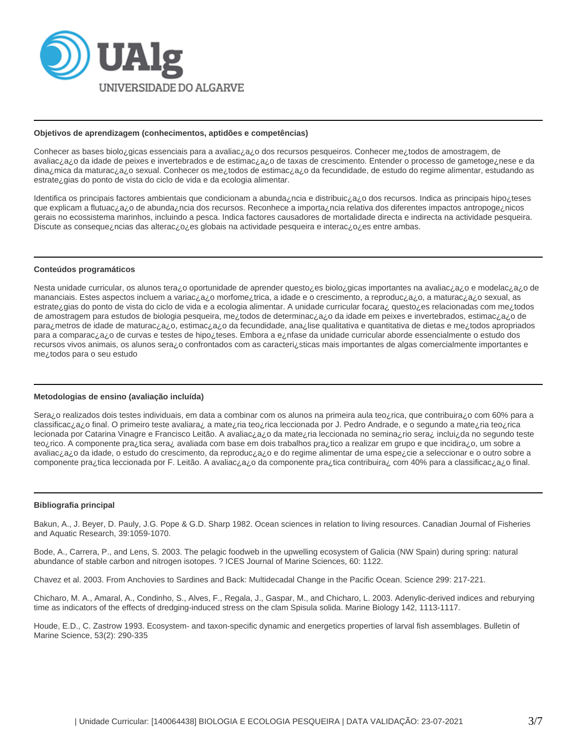

#### **Objetivos de aprendizagem (conhecimentos, aptidões e competências)**

Conhecer as bases biolo¿gicas essenciais para a avaliac¿a¿o dos recursos pesqueiros. Conhecer me¿todos de amostragem, de avaliac¿a¿o da idade de peixes e invertebrados e de estimac¿a¿o de taxas de crescimento. Entender o processo de gametoge¿nese e da dina¿mica da maturac¿a¿o sexual. Conhecer os me¿todos de estimac¿a¿o da fecundidade, de estudo do regime alimentar, estudando as estrate¿gias do ponto de vista do ciclo de vida e da ecologia alimentar.

Identifica os principais factores ambientais que condicionam a abunda¿ncia e distribuic¿a¿o dos recursos. Indica as principais hipo¿teses que explicam a flutuac¿a¿o de abunda¿ncia dos recursos. Reconhece a importa¿ncia relativa dos diferentes impactos antropoge¿nicos gerais no ecossistema marinhos, incluindo a pesca. Indica factores causadores de mortalidade directa e indirecta na actividade pesqueira. Discute as conseque¿ncias das alterac¿o¿es globais na actividade pesqueira e interac¿o¿es entre ambas.

### **Conteúdos programáticos**

Nesta unidade curricular, os alunos tera¿o oportunidade de aprender questo¿es biolo¿gicas importantes na avaliac¿a¿o e modelac¿a¿o de mananciais. Estes aspectos incluem a variac¿a¿o morfome¿trica, a idade e o crescimento, a reproduc¿a¿o, a maturac¿a¿o sexual, as estrate¿gias do ponto de vista do ciclo de vida e a ecologia alimentar. A unidade curricular focara¿ questo¿es relacionadas com me¿todos de amostragem para estudos de biologia pesqueira, me¿todos de determinac¿a¿o da idade em peixes e invertebrados, estimac¿a¿o de para¿metros de idade de maturac¿a¿o, estimac¿a¿o da fecundidade, ana¿lise qualitativa e quantitativa de dietas e me¿todos apropriados para a comparac¿a¿o de curvas e testes de hipo¿teses. Embora a e¿nfase da unidade curricular aborde essencialmente o estudo dos recursos vivos animais, os alunos sera¿o confrontados com as caracteri¿sticas mais importantes de algas comercialmente importantes e me¿todos para o seu estudo

### **Metodologias de ensino (avaliação incluída)**

Sera¿o realizados dois testes individuais, em data a combinar com os alunos na primeira aula teo¿rica, que contribuira¿o com 60% para a classificac¿a¿o final. O primeiro teste avaliara¿ a mate¿ria teo¿rica leccionada por J. Pedro Andrade, e o segundo a mate¿ria teo¿rica lecionada por Catarina Vinagre e Francisco Leitão. A avaliac¿a¿o da mate¿ria leccionada no semina¿rio sera¿ inclui¿da no segundo teste teo¿rico. A componente pra¿tica sera¿ avaliada com base em dois trabalhos pra¿tico a realizar em grupo e que incidira¿o, um sobre a avaliac¿a¿o da idade, o estudo do crescimento, da reproduc¿a¿o e do regime alimentar de uma espe¿cie a seleccionar e o outro sobre a componente pra¿tica leccionada por F. Leitão. A avaliac¿a¿o da componente pra¿tica contribuira¿ com 40% para a classificac¿a¿o final.

#### **Bibliografia principal**

Bakun, A., J. Beyer, D. Pauly, J.G. Pope & G.D. Sharp 1982. Ocean sciences in relation to living resources. Canadian Journal of Fisheries and Aquatic Research, 39:1059-1070.

Bode, A., Carrera, P., and Lens, S. 2003. The pelagic foodweb in the upwelling ecosystem of Galicia (NW Spain) during spring: natural abundance of stable carbon and nitrogen isotopes. ? ICES Journal of Marine Sciences, 60: 1122.

Chavez et al. 2003. From Anchovies to Sardines and Back: Multidecadal Change in the Pacific Ocean. Science 299: 217-221.

Chicharo, M. A., Amaral, A., Condinho, S., Alves, F., Regala, J., Gaspar, M., and Chicharo, L. 2003. Adenylic-derived indices and reburying time as indicators of the effects of dredging-induced stress on the clam Spisula solida. Marine Biology 142, 1113-1117.

Houde, E.D., C. Zastrow 1993. Ecosystem- and taxon-specific dynamic and energetics properties of larval fish assemblages. Bulletin of Marine Science, 53(2): 290-335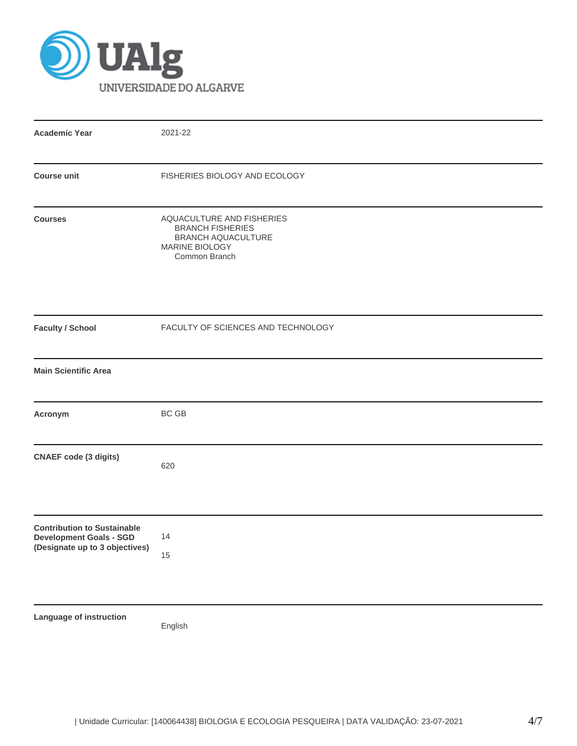

| <b>Academic Year</b>                                                                                   | 2021-22                                                                                                       |
|--------------------------------------------------------------------------------------------------------|---------------------------------------------------------------------------------------------------------------|
| <b>Course unit</b>                                                                                     | FISHERIES BIOLOGY AND ECOLOGY                                                                                 |
| <b>Courses</b>                                                                                         | AQUACULTURE AND FISHERIES<br><b>BRANCH FISHERIES</b><br>BRANCH AQUACULTURE<br>MARINE BIOLOGY<br>Common Branch |
| <b>Faculty / School</b>                                                                                | FACULTY OF SCIENCES AND TECHNOLOGY                                                                            |
| <b>Main Scientific Area</b>                                                                            |                                                                                                               |
| Acronym                                                                                                | <b>BC GB</b>                                                                                                  |
| <b>CNAEF</b> code (3 digits)                                                                           | 620                                                                                                           |
| <b>Contribution to Sustainable</b><br><b>Development Goals - SGD</b><br>(Designate up to 3 objectives) | 14<br>15                                                                                                      |
| Language of instruction                                                                                | English                                                                                                       |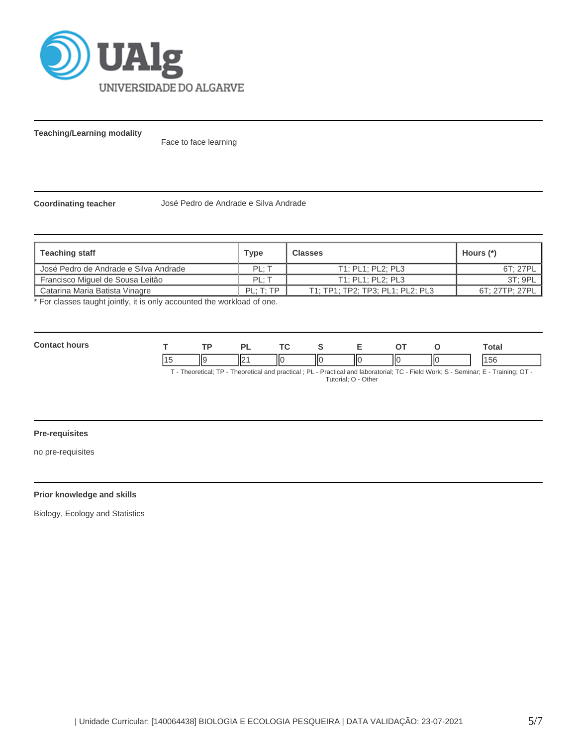

**Teaching/Learning modality**

Face to face learning

**Coordinating teacher** José Pedro de Andrade e Silva Andrade

| Type      | <b>Classes</b>                   | Hours (*)      |
|-----------|----------------------------------|----------------|
| PL: T     | T1; PL1; PL2; PL3                | 6T: 27PL       |
| PL: T     | T1: PL1: PL2: PL3                | 3T: 9PL        |
| PL: T: TP | T1; TP1; TP2; TP3; PL1; PL2; PL3 | 6T: 27TP: 27PL |
|           |                                  |                |

For classes taught jointly, it is only accounted the workload of one.

| <b>Contact hours</b> |    |     |    |  |     | Гоtal                                                                                                                               |
|----------------------|----|-----|----|--|-----|-------------------------------------------------------------------------------------------------------------------------------------|
|                      | Ιl | ll( | НΟ |  | IІC | 156                                                                                                                                 |
|                      |    |     |    |  |     | T - Theoretical; TP - Theoretical and practical ; PL - Practical and laboratorial; TC - Field Work; S - Seminar; E - Training; OT - |

Tutorial; O - Other

# **Pre-requisites**

no pre-requisites

# **Prior knowledge and skills**

Biology, Ecology and Statistics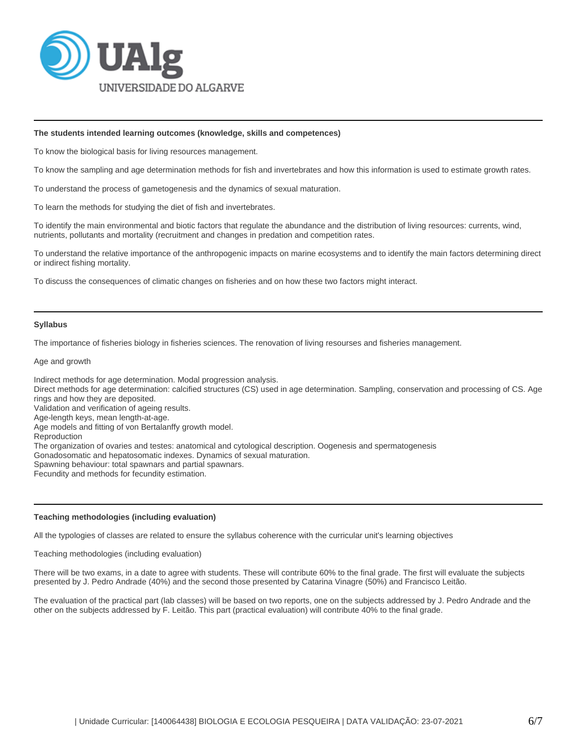

### **The students intended learning outcomes (knowledge, skills and competences)**

To know the biological basis for living resources management.

To know the sampling and age determination methods for fish and invertebrates and how this information is used to estimate growth rates.

To understand the process of gametogenesis and the dynamics of sexual maturation.

To learn the methods for studying the diet of fish and invertebrates.

To identify the main environmental and biotic factors that regulate the abundance and the distribution of living resources: currents, wind, nutrients, pollutants and mortality (recruitment and changes in predation and competition rates.

To understand the relative importance of the anthropogenic impacts on marine ecosystems and to identify the main factors determining direct or indirect fishing mortality.

To discuss the consequences of climatic changes on fisheries and on how these two factors might interact.

#### **Syllabus**

The importance of fisheries biology in fisheries sciences. The renovation of living resourses and fisheries management.

Age and growth

Indirect methods for age determination. Modal progression analysis. Direct methods for age determination: calcified structures (CS) used in age determination. Sampling, conservation and processing of CS. Age rings and how they are deposited. Validation and verification of ageing results. Age-length keys, mean length-at-age. Age models and fitting of von Bertalanffy growth model. Reproduction The organization of ovaries and testes: anatomical and cytological description. Oogenesis and spermatogenesis Gonadosomatic and hepatosomatic indexes. Dynamics of sexual maturation. Spawning behaviour: total spawnars and partial spawnars. Fecundity and methods for fecundity estimation.

### **Teaching methodologies (including evaluation)**

All the typologies of classes are related to ensure the syllabus coherence with the curricular unit's learning objectives

Teaching methodologies (including evaluation)

There will be two exams, in a date to agree with students. These will contribute 60% to the final grade. The first will evaluate the subjects presented by J. Pedro Andrade (40%) and the second those presented by Catarina Vinagre (50%) and Francisco Leitão.

The evaluation of the practical part (lab classes) will be based on two reports, one on the subjects addressed by J. Pedro Andrade and the other on the subjects addressed by F. Leitão. This part (practical evaluation) will contribute 40% to the final grade.